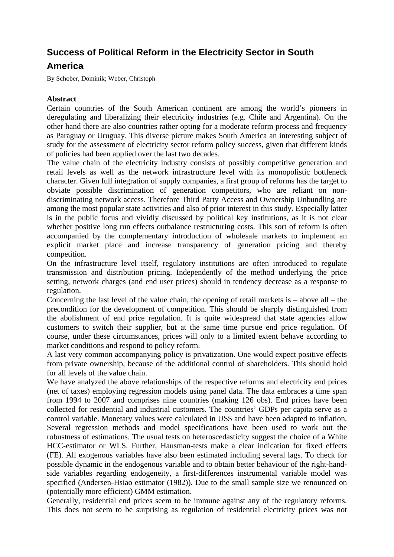## **Success of Political Reform in the Electricity Sector in South**

## **America**

By Schober, Dominik; Weber, Christoph

## **Abstract**

Certain countries of the South American continent are among the world's pioneers in deregulating and liberalizing their electricity industries (e.g. Chile and Argentina). On the other hand there are also countries rather opting for a moderate reform process and frequency as Paraguay or Uruguay. This diverse picture makes South America an interesting subject of study for the assessment of electricity sector reform policy success, given that different kinds of policies had been applied over the last two decades.

The value chain of the electricity industry consists of possibly competitive generation and retail levels as well as the network infrastructure level with its monopolistic bottleneck character. Given full integration of supply companies, a first group of reforms has the target to obviate possible discrimination of generation competitors, who are reliant on nondiscriminating network access. Therefore Third Party Access and Ownership Unbundling are among the most popular state activities and also of prior interest in this study. Especially latter is in the public focus and vividly discussed by political key institutions, as it is not clear whether positive long run effects outbalance restructuring costs. This sort of reform is often accompanied by the complementary introduction of wholesale markets to implement an explicit market place and increase transparency of generation pricing and thereby competition.

On the infrastructure level itself, regulatory institutions are often introduced to regulate transmission and distribution pricing. Independently of the method underlying the price setting, network charges (and end user prices) should in tendency decrease as a response to regulation.

Concerning the last level of the value chain, the opening of retail markets is – above all – the precondition for the development of competition. This should be sharply distinguished from the abolishment of end price regulation. It is quite widespread that state agencies allow customers to switch their supplier, but at the same time pursue end price regulation. Of course, under these circumstances, prices will only to a limited extent behave according to market conditions and respond to policy reform.

A last very common accompanying policy is privatization. One would expect positive effects from private ownership, because of the additional control of shareholders. This should hold for all levels of the value chain.

We have analyzed the above relationships of the respective reforms and electricity end prices (net of taxes) employing regression models using panel data. The data embraces a time span from 1994 to 2007 and comprises nine countries (making 126 obs). End prices have been collected for residential and industrial customers. The countries' GDPs per capita serve as a control variable. Monetary values were calculated in US\$ and have been adapted to inflation. Several regression methods and model specifications have been used to work out the robustness of estimations. The usual tests on heteroscedasticity suggest the choice of a White HCC-estimator or WLS. Further, Hausman-tests make a clear indication for fixed effects (FE). All exogenous variables have also been estimated including several lags. To check for possible dynamic in the endogenous variable and to obtain better behaviour of the right-handside variables regarding endogeneity, a first-differences instrumental variable model was specified (Andersen-Hsiao estimator (1982)). Due to the small sample size we renounced on (potentially more efficient) GMM estimation.

Generally, residential end prices seem to be immune against any of the regulatory reforms. This does not seem to be surprising as regulation of residential electricity prices was not